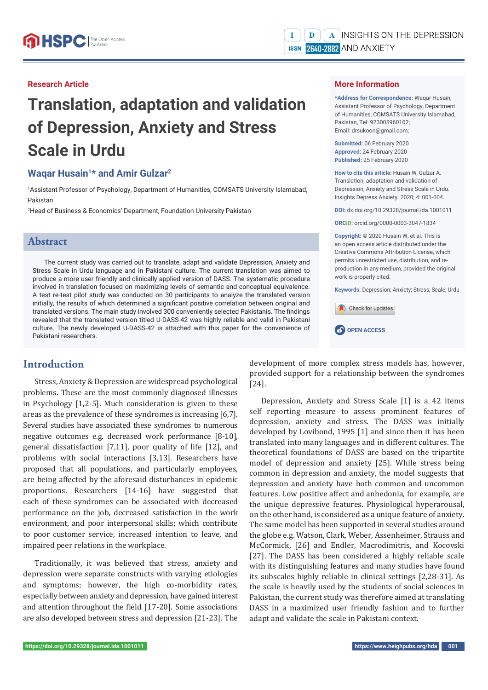### **Research Article**

# **Translation, adaptation and validation of Depression, Anxiety and Stress Scale in Urdu**

### **Waqar Husain1\* and Amir Gulzar2**

1 Assistant Professor of Psychology, Department of Humanities, COMSATS University Islamabad, Pakistan

2 Head of Business & Economics' Department, Foundation University Pakistan

### **Abstract**

The current study was carried out to translate, adapt and validate Depression, Anxiety and Stress Scale in Urdu language and in Pakistani culture. The current translation was aimed to produce a more user friendly and clinically applied version of DASS. The systematic procedure involved in translation focused on maximizing levels of semantic and conceptual equivalence. A test re-test pilot study was conducted on 30 participants to analyze the translated version initially, the results of which determined a significant positive correlation between original and translated versions. The main study involved 300 conveniently selected Pakistanis. The findings revealed that the translated version titled U-DASS-42 was highly reliable and valid in Pakistani culture. The newly developed U-DASS-42 is attached with this paper for the convenience of Pakistani researchers.

# **Introduction**

Stress, Anxiety & Depression are widespread psychological problems. These are the most commonly diagnosed illnesses in Psychology [1,2-5]. Much consideration is given to these areas as the prevalence of these syndromes is increasing [6,7]. Several studies have associated these syndromes to numerous negative outcomes e.g. decreased work performance [8-10], general dissatisfaction [7,11], poor quality of life [12], and problems with social interactions [3,13]. Researchers have proposed that all populations, and particularly employees, are being affected by the aforesaid disturbances in epidemic proportions. Researchers [14-16] have suggested that each of these syndromes can be associated with decreased performance on the job, decreased satisfaction in the work environment, and poor interpersonal skills; which contribute to poor customer service, increased intention to leave, and impaired peer relations in the workplace.

Traditionally, it was believed that stress, anxiety and depression were separate constructs with varying etiologies and symptoms; however, the high co-morbidity rates, especially between anxiety and depression, have gained interest and attention throughout the field [17-20]. Some associations are also developed between stress and depression [21-23]. The

### **More Information**

**\*Address for Correspondence:** Waqar Husain, Assistant Professor of Psychology, Department of Humanities, COMSATS University Islamabad, Pakistan, Tel: 923005960102; Email: drsukoon@gmail.com;

**Submitted:** 06 February 2020 **Approved:** 24 February 2020 **Published:** 25 February 2020

**How to cite this article:** Husain W, Gulzar A. Translation, adaptation and validation of Depression, Anxiety and Stress Scale in Urdu. Insights Depress Anxiety. 2020; 4: 001-004.

**DOI:** dx.doi.org/10.29328/journal.ida.1001011

**ORCiD:** orcid.org/0000-0003-3047-1834

**Copyright: ©** 2020 Husain W, et al. This is an open access article distributed under the Creative Commons Attribution License, which permits unrestricted use, distribution, and reproduction in any medium, provided the original work is properly cited.

**Keywords:** Depression; Anxiety; Stress; Scale; Urdu





development of more complex stress models has, however, provided support for a relationship between the syndromes [24].

Depression, Anxiety and Stress Scale [1] is a 42 items self reporting measure to assess prominent features of depression, anxiety and stress. The DASS was initially developed by Lovibond, 1995 [1] and since then it has been translated into many languages and in different cultures. The theoretical foundations of DASS are based on the tripartite model of depression and anxiety [25]. While stress being common in depression and anxiety, the model suggests that depression and anxiety have both common and uncommon features. Low positive affect and anhedonia, for example, are the unique depressive features. Physiological hyperarousal, on the other hand, is considered as a unique feature of anxiety. The same model has been supported in several studies around the globe e.g. Watson, Clark, Weber, Assenheimer, Strauss and McCormick, [26] and Endler, Macrodimitris, and Kocovski [27]. The DASS has been considered a highly reliable scale with its distinguishing features and many studies have found its subscales highly reliable in clinical settings [2,28-31]. As the scale is heavily used by the students of social sciences in Pakistan, the current study was therefore aimed at translating DASS in a maximized user friendly fashion and to further adapt and validate the scale in Pakistani context.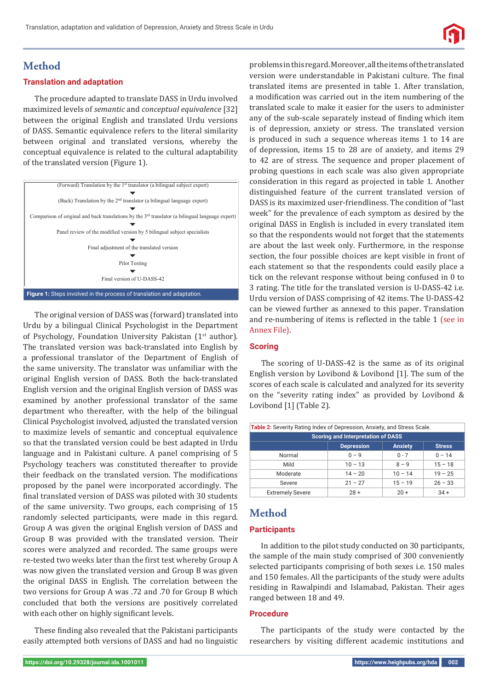

# **Method**

### **Translation and adaptation**

The procedure adapted to translate DASS in Urdu involved maximized levels of *semantic* and *conceptual equivalence* [32] between the original English and translated Urdu versions of DASS. Semantic equivalence refers to the literal similarity between original and translated versions, whereby the conceptual equivalence is related to the cultural adaptability of the translated version (Figure 1).



The original version of DASS was (forward) translated into Urdu by a bilingual Clinical Psychologist in the Department of Psychology, Foundation University Pakistan (1<sup>st</sup> author). The translated version was back-translated into English by a professional translator of the Department of English of the same university. The translator was unfamiliar with the original English version of DASS. Both the back-translated English version and the original English version of DASS was examined by another professional translator of the same department who thereafter, with the help of the bilingual Clinical Psychologist involved, adjusted the translated version to maximize levels of semantic and conceptual equivalence so that the translated version could be best adapted in Urdu language and in Pakistani culture. A panel comprising of 5 Psychology teachers was constituted thereafter to provide their feedback on the translated version. The modifications proposed by the panel were incorporated accordingly. The final translated version of DASS was piloted with 30 students of the same university. Two groups, each comprising of 15 randomly selected participants, were made in this regard. Group A was given the original English version of DASS and Group B was provided with the translated version. Their scores were analyzed and recorded. The same groups were re-tested two weeks later than the first test whereby Group A was now given the translated version and Group B was given the original DASS in English. The correlation between the two versions for Group A was .72 and .70 for Group B which concluded that both the versions are positively correlated with each other on highly significant levels.

These finding also revealed that the Pakistani participants easily attempted both versions of DASS and had no linguistic problems in this regard. Moreover, all the items of the translated version were understandable in Pakistani culture. The final translated items are presented in table 1. After translation, a modification was carried out in the item numbering of the translated scale to make it easier for the users to administer any of the sub-scale separately instead of finding which item is of depression, anxiety or stress. The translated version is produced in such a sequence whereas items 1 to 14 are of depression, items 15 to 28 are of anxiety, and items 29 to 42 are of stress. The sequence and proper placement of probing questions in each scale was also given appropriate consideration in this regard as projected in table 1. Another distinguished feature of the current translated version of DASS is its maximized user-friendliness. The condition of "last week" for the prevalence of each symptom as desired by the original DASS in English is included in every translated item so that the respondents would not forget that the statements are about the last week only. Furthermore, in the response section, the four possible choices are kept visible in front of each statement so that the respondents could easily place a tick on the relevant response without being confused in 0 to 3 rating. The title for the translated version is U-DASS-42 i.e. Urdu version of DASS comprising of 42 items. The U-DASS-42 can be viewed further as annexed to this paper. Translation and re-numbering of items is reflected in the table 1 (see in [Annex File\).](https://www.heighpubs.org/hda/ida-aid1011-Tables1,4,5&AnnexA.zip)

### **Scoring**

The scoring of U-DASS-42 is the same as of its original English version by Lovibond & Lovibond [1]. The sum of the scores of each scale is calculated and analyzed for its severity on the "severity rating index" as provided by Lovibond & Lovibond [1] (Table 2).

| Table 2: Severity Rating Index of Depression, Anxiety, and Stress Scale. |                    |                |               |  |  |
|--------------------------------------------------------------------------|--------------------|----------------|---------------|--|--|
| <b>Scoring and Interpretation of DASS</b>                                |                    |                |               |  |  |
|                                                                          | <b>Depression</b>  | <b>Anxiety</b> | <b>Stress</b> |  |  |
| Normal                                                                   | $0 - 9$<br>$0 - 7$ |                | $0 - 14$      |  |  |
| Mild                                                                     | $10 - 13$          | $8 - 9$        | $15 - 18$     |  |  |
| Moderate                                                                 | $14 - 20$          | $10 - 14$      | $19 - 25$     |  |  |
| Severe                                                                   | $21 - 27$          | $15 - 19$      | $26 - 33$     |  |  |
| <b>Extremely Severe</b>                                                  | $28 +$             | $20 +$         | $34 +$        |  |  |

# **Method**

### **Participants**

In addition to the pilot study conducted on 30 participants, the sample of the main study comprised of 300 conveniently selected participants comprising of both sexes i.e. 150 males and 150 females. All the participants of the study were adults residing in Rawalpindi and Islamabad, Pakistan. Their ages ranged between 18 and 49.

### **Procedure**

The participants of the study were contacted by the researchers by visiting different academic institutions and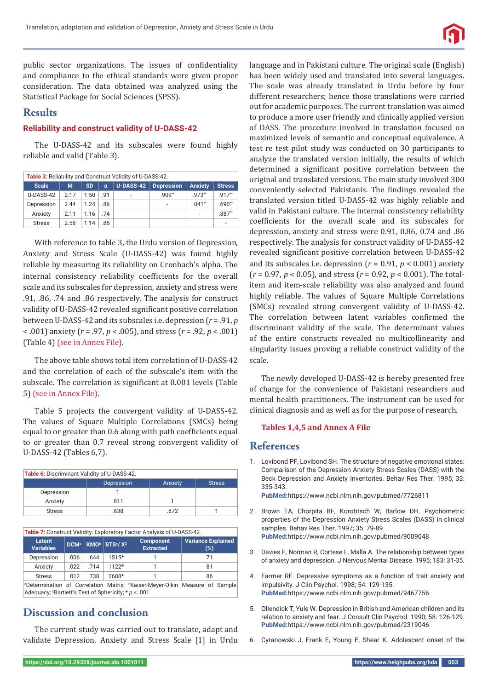

public sector organizations. The issues of confidentiality and compliance to the ethical standards were given proper consideration. The data obtained was analyzed using the Statistical Package for Social Sciences (SPSS).

### **Results**

### **Reliability and construct validity of U-DASS-42**

The U-DASS-42 and its subscales were found highly reliable and valid (Table 3).

| Table 3: Reliability and Construct Validity of U-DASS-42. |       |           |          |                  |                   |                |               |
|-----------------------------------------------------------|-------|-----------|----------|------------------|-------------------|----------------|---------------|
| <b>Scale</b>                                              | м     | <b>SD</b> | $\alpha$ | <b>U-DASS-42</b> | <b>Depression</b> | <b>Anxiety</b> | <b>Stress</b> |
| U-DASS-42                                                 | 2 1 7 | 1.50      | - 91     | $\overline{a}$   | $.909**$          | 973**          | $.917**$      |
| Depression                                                | 2.44  | 1.24      | .86      |                  |                   | $.841**$       | $.690**$      |
| Anxiety                                                   | 2.11  | 1.16      | 74       |                  |                   |                | $.887**$      |
| <b>Stress</b>                                             | 2.58  | 1 14      | .86      |                  |                   |                | ۰             |

With reference to table 3, the Urdu version of Depression, Anxiety and Stress Scale (U-DASS-42) was found highly reliable by measuring its reliability on Cronbach's alpha. The internal consistency reliability coefficients for the overall scale and its subscales for depression, anxiety and stress were .91, .86, .74 and .86 respectively. The analysis for construct validity of U-DASS-42 revealed significant positive correlation between U-DASS-42 and its subscales i.e. depression (*r* = .91, *p* < .001) anxiety (*r* = .97, *p* < .005), and stress (*r* = .92, *p* < .001) [\(Table 4\) \(see in Annex File\).](https://www.heighpubs.org/hda/ida-aid1011-Tables1,4,5&AnnexA.zip)

The above table shows total item correlation of U-DASS-42 and the correlation of each of the subscale's item with the subscale. The correlation is significant at 0.001 levels [\(Table](https://www.heighpubs.org/hda/ida-aid1011-Tables1,4,5&AnnexA.zip) [5\) \(see in Annex File\).](https://www.heighpubs.org/hda/ida-aid1011-Tables1,4,5&AnnexA.zip)

Table 5 projects the convergent validity of U-DASS-42. The values of Square Multiple Correlations (SMCs) being equal to or greater than 0.6 along with path coefficients equal to or greater than 0.7 reveal strong convergent validity of U-DASS-42 (Tables 6,7).

| Table 6: Discriminant Validity of U-DASS-42. |            |         |               |  |
|----------------------------------------------|------------|---------|---------------|--|
|                                              | Depression | Anxiety | <b>Stress</b> |  |
| Depression                                   |            |         |               |  |
| Anxiety                                      | .811       |         |               |  |
| <b>Stress</b>                                | .638       | 872     |               |  |

| Table 7: Construct Validity: Exploratory Factor Analysis of U-DASS-42.                                                                                         |      |      |                                                                     |                                      |                                  |
|----------------------------------------------------------------------------------------------------------------------------------------------------------------|------|------|---------------------------------------------------------------------|--------------------------------------|----------------------------------|
| Latent<br><b>Variables</b>                                                                                                                                     |      |      | DCM <sup>a</sup> KMO <sup>b</sup> BTS <sup>c</sup> / X <sup>2</sup> | <b>Component</b><br><b>Extracted</b> | <b>Variance Explained</b><br>(%) |
| Depression                                                                                                                                                     | .006 | .644 | $1515*$                                                             |                                      | 71                               |
| Anxiety                                                                                                                                                        | .022 | .714 | $1122*$                                                             |                                      | 81                               |
| <b>Stress</b>                                                                                                                                                  | .012 | .738 | 2688*                                                               |                                      | 86                               |
| <sup>a</sup> Determination of Correlation Matrix; <sup>b</sup> Kaiser-Meyer-Olkin Measure of Sample<br>$h$ deguesus Contlett's Test of Caberiaitus t.p. $1001$ |      |      |                                                                     |                                      |                                  |

Adequacy; c Bartlett's Test of Sphericity; \* *p* <. 001

## **Discussion and conclusion**

The current study was carried out to translate, adapt and validate Depression, Anxiety and Stress Scale [1] in Urdu language and in Pakistani culture. The original scale (English) has been widely used and translated into several languages. The scale was already translated in Urdu before by four different researchers; hence those translations were carried out for academic purposes. The current translation was aimed to produce a more user friendly and clinically applied version of DASS. The procedure involved in translation focused on maximized levels of semantic and conceptual equivalence. A test re test pilot study was conducted on 30 participants to analyze the translated version initially, the results of which determined a significant positive correlation between the original and translated versions. The main study involved 300 conveniently selected Pakistanis. The findings revealed the translated version titled U-DASS-42 was highly reliable and valid in Pakistani culture. The internal consistency reliability coefficients for the overall scale and its subscales for depression, anxiety and stress were 0.91, 0.86, 0.74 and .86 respectively. The analysis for construct validity of U-DASS-42 revealed significant positive correlation between U-DASS-42 and its subscales i.e. depression (*r* = 0.91, *p* < 0.001) anxiety (*r* = 0.97, *p* < 0.05), and stress (*r* = 0.92, *p* < 0.001). The totalitem and item-scale reliability was also analyzed and found highly reliable. The values of Square Multiple Correlations (SMCs) revealed strong convergent validity of U-DASS-42. The correlation between latent variables confirmed the discriminant validity of the scale. The determinant values of the entire constructs revealed no multicollinearity and singularity issues proving a reliable construct validity of the scale.

The newly developed U-DASS-42 is hereby presented free of charge for the convenience of Pakistani researchers and mental health practitioners. The instrument can be used for clinical diagnosis and as well as for the purpose of research.

#### **[Tables 1,4,5 and Annex A File](https://www.heighpubs.org/hda/ida-aid1011-Tables1,4,5&AnnexA.zip)**

### **References**

1. Lovibond PF, Lovibond SH. The structure of negative emotional states: Comparison of the Depression Anxiety Stress Scales (DASS) with the Beck Depression and Anxiety Inventories. Behav Res Ther. 1995; 33: 335-343.

**PubMed:**https://www.ncbi.nlm.nih.gov/pubmed/7726811

- 2. Brown TA, Chorpita BF, Korotitsch W, Barlow DH. Psychometric properties of the Depression Anxiety Stress Scales (DASS) in clinical samples. Behav Res Ther. 1997; 35: 79-89. **PubMed:**https://www.ncbi.nlm.nih.gov/pubmed/9009048
- 3. Davies F, Norman R, Cortese L, Malla A. The relationship between types of anxiety and depression. J Nervous Mental Disease. 1995; 183: 31-35.
- 4. Farmer RF. Depressive symptoms as a function of trait anxiety and impulsivity. J Clin Psychol. 1998; 54: 129-135. **PubMed:**https://www.ncbi.nlm.nih.gov/pubmed/9467756
- 5. Ollendick T, Yule W. Depression in British and American children and its relation to anxiety and fear. J Consult Clin Psychol. 1990; 58: 126-129. **PubMed:**https://www.ncbi.nlm.nih.gov/pubmed/2319046
- 6. Cyranowski J, Frank E, Young E, Shear K. Adolescent onset of the